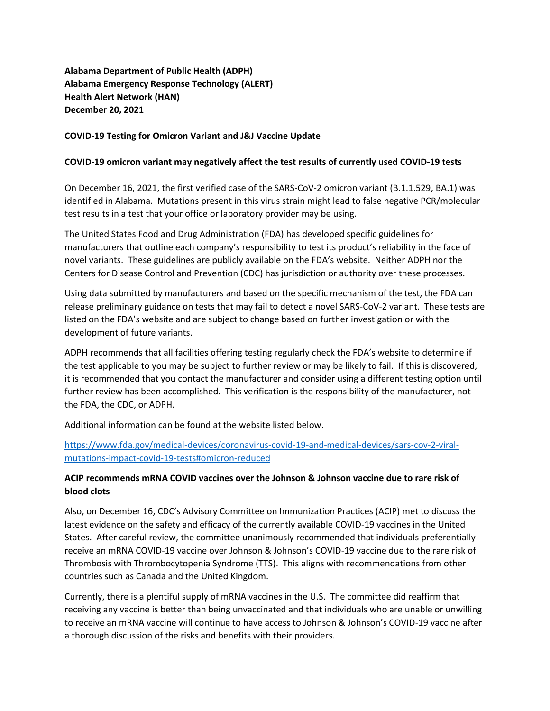**Alabama Department of Public Health (ADPH) Alabama Emergency Response Technology (ALERT) Health Alert Network (HAN) December 20, 2021**

## **COVID-19 Testing for Omicron Variant and J&J Vaccine Update**

## **COVID-19 omicron variant may negatively affect the test results of currently used COVID-19 tests**

On December 16, 2021, the first verified case of the SARS-CoV-2 omicron variant (B.1.1.529, BA.1) was identified in Alabama. Mutations present in this virus strain might lead to false negative PCR/molecular test results in a test that your office or laboratory provider may be using.

The United States Food and Drug Administration (FDA) has developed specific guidelines for manufacturers that outline each company's responsibility to test its product's reliability in the face of novel variants. These guidelines are publicly available on the FDA's website. Neither ADPH nor the Centers for Disease Control and Prevention (CDC) has jurisdiction or authority over these processes.

Using data submitted by manufacturers and based on the specific mechanism of the test, the FDA can release preliminary guidance on tests that may fail to detect a novel SARS-CoV-2 variant. These tests are listed on the FDA's website and are subject to change based on further investigation or with the development of future variants.

ADPH recommends that all facilities offering testing regularly check the FDA's website to determine if the test applicable to you may be subject to further review or may be likely to fail. If this is discovered, it is recommended that you contact the manufacturer and consider using a different testing option until further review has been accomplished. This verification is the responsibility of the manufacturer, not the FDA, the CDC, or ADPH.

Additional information can be found at the website listed below.

## [https://www.fda.gov/medical-devices/coronavirus-covid-19-and-medical-devices/sars-cov-2-viral](https://www.fda.gov/medical-devices/coronavirus-covid-19-and-medical-devices/sars-cov-2-viral-mutations-impact-covid-19-tests#omicron-reduced)[mutations-impact-covid-19-tests#omicron-reduced](https://www.fda.gov/medical-devices/coronavirus-covid-19-and-medical-devices/sars-cov-2-viral-mutations-impact-covid-19-tests#omicron-reduced)

## **ACIP recommends mRNA COVID vaccines over the Johnson & Johnson vaccine due to rare risk of blood clots**

Also, on December 16, CDC's Advisory Committee on Immunization Practices (ACIP) met to discuss the latest evidence on the safety and efficacy of the currently available COVID-19 vaccines in the United States. After careful review, the committee unanimously recommended that individuals preferentially receive an mRNA COVID-19 vaccine over Johnson & Johnson's COVID-19 vaccine due to the rare risk of Thrombosis with Thrombocytopenia Syndrome (TTS). This aligns with recommendations from other countries such as Canada and the United Kingdom.

Currently, there is a plentiful supply of mRNA vaccines in the U.S. The committee did reaffirm that receiving any vaccine is better than being unvaccinated and that individuals who are unable or unwilling to receive an mRNA vaccine will continue to have access to Johnson & Johnson's COVID-19 vaccine after a thorough discussion of the risks and benefits with their providers.